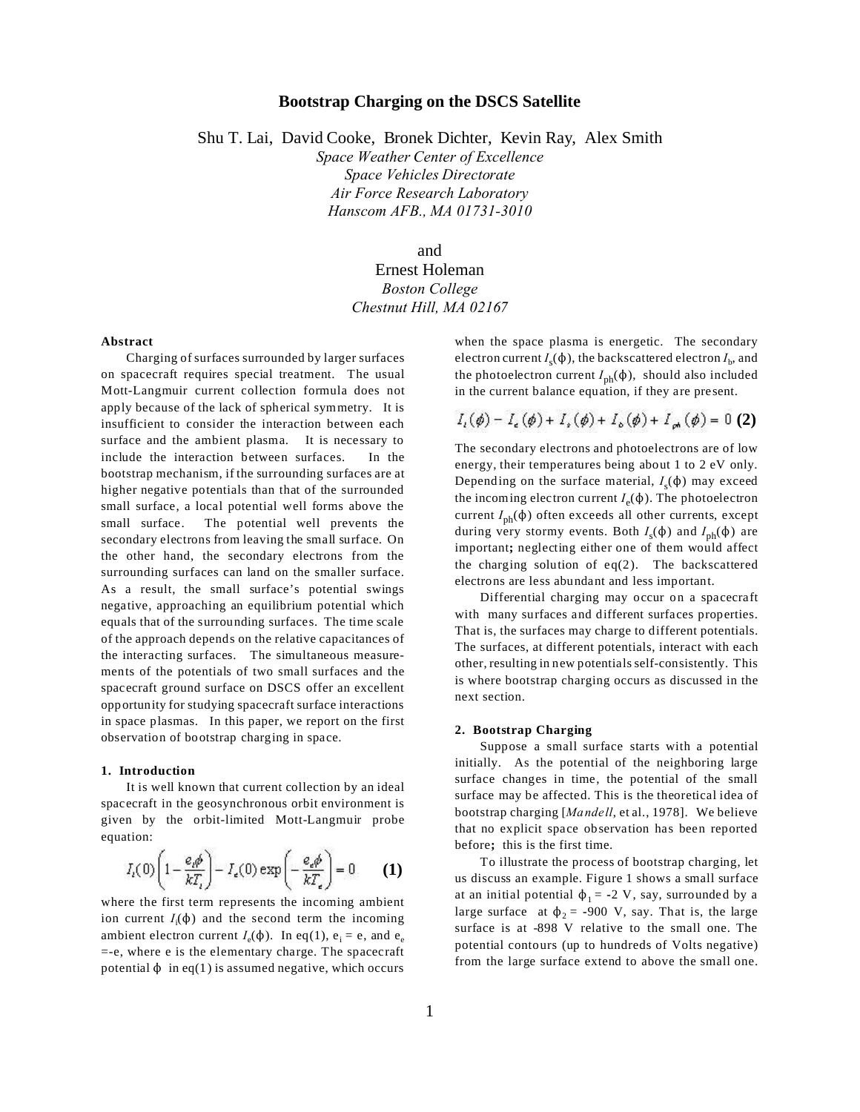# **Bootstrap Charging on the DSCS Satellite**

Shu T. Lai, David Cooke, Bronek Dichter, Kevin Ray, Alex Smith

*Space Weather Center of Excellence Space Vehicles Directorate Air Force Research Laboratory Hanscom AFB., MA 01731-3010*

## and

# Ernest Holeman *Boston College Chestnut Hill, MA 02167*

## **Abstract**

Charging of surfaces surrounded by larger surfaces on spacecraft requires special treatment. The usual Mott-Langmuir current collection formula does not apply because of the lack of spherical symmetry. It is insufficient to consider the interaction between each surface and the ambient plasma. It is necessary to include the interaction between surfaces. In the bootstrap mechanism, if the surrounding surfaces are at higher negative potentials than that of the surrounded small surface, a local potential well forms above the small surface. The potential well prevents the secondary electrons from leaving the small surface. On the other hand, the secondary electrons from the surrounding surfaces can land on the smaller surface. As a result, the small surface's potential swings negative, approaching an equilibrium potential which equals that of the surrounding surfaces. The time scale of the approach depends on the relative capacitances of the interacting surfaces. The simultaneous measurements of the potentials of two small surfaces and the spacecraft ground surface on DSCS offer an excellent opportunity for studying spacecraft surface interactions in space plasmas. In this paper, we report on the first observation of bootstrap charging in space.

#### **1. Introduction**

It is well known that current collection by an ideal spacecraft in the geosynchronous orbit environment is given by the orbit-limited Mott-Langmuir probe equation:

$$
I_{i}(0)\left(1-\frac{e_{i}\phi}{kT_{i}}\right)-I_{e}(0)\exp\left(-\frac{e_{e}\phi}{kT_{e}}\right)=0\qquad(1)
$$

where the first term represents the incoming ambient ion current  $I_i(\phi)$  and the second term the incoming ambient electron current  $I_e(\phi)$ . In eq(1),  $e_i = e$ , and  $e_e$ =-e, where e is the elementary charge. The spacecraft potential  $\phi$  in eq(1) is assumed negative, which occurs

when the space plasma is energetic. The secondary electron current  $I_{\rm s}(\Phi)$  , the backscattered electron  $I_{\rm b}$ , and the photoelectron current *I*<sub>ph</sub>(φ), should also included in the current balance equation, if they are present.

$$
I_{\iota}(\phi) - I_{\epsilon}(\phi) + I_{\epsilon}(\phi) + I_{\delta}(\phi) + I_{\rho}(\phi) = 0
$$
 (2)

The secondary electrons and photoelectrons are of low energy, their temperatures being about 1 to 2 eV only. Depending on the surface material,  $I_s(\phi)$  may exceed the incoming electron current  $I_e(\phi)$ . The photoelectron current  $I_{nh}(\phi)$  often exceeds all other currents, except during very stormy events. Both  $I_s(\phi)$  and  $I_{ph}(\phi)$  are important**;** neglecting either one of them would affect the charging solution of  $eq(2)$ . The backscattered electrons are less abundant and less important.

Differential charging may occur on a spacecraft with many surfaces and different surfaces properties. That is, the surfaces may charge to different potentials. The surfaces, at different potentials, interact with each other, resulting in new potentials self-consistently. This is where bootstrap charging occurs as discussed in the next section.

## **2. Bootstrap Charging**

Suppose a small surface starts with a potential initially. As the potential of the neighboring large surface changes in time, the potential of the small surface may be affected. This is the theoretical idea of bootstrap charging [*Mandell*, et al., 1978]. We believe that no explicit space observation has been reported before**;** this is the first time.

To illustrate the process of bootstrap charging, let us discuss an example. Figure 1 shows a small surface at an initial potential  $\phi_1 = -2$  V, say, surrounded by a large surface at  $\phi_2$  = **-**900 V, say. That is, the large surface is at -898 V relative to the small one. The potential contours (up to hundreds of Volts negative) from the large surface extend to above the small one.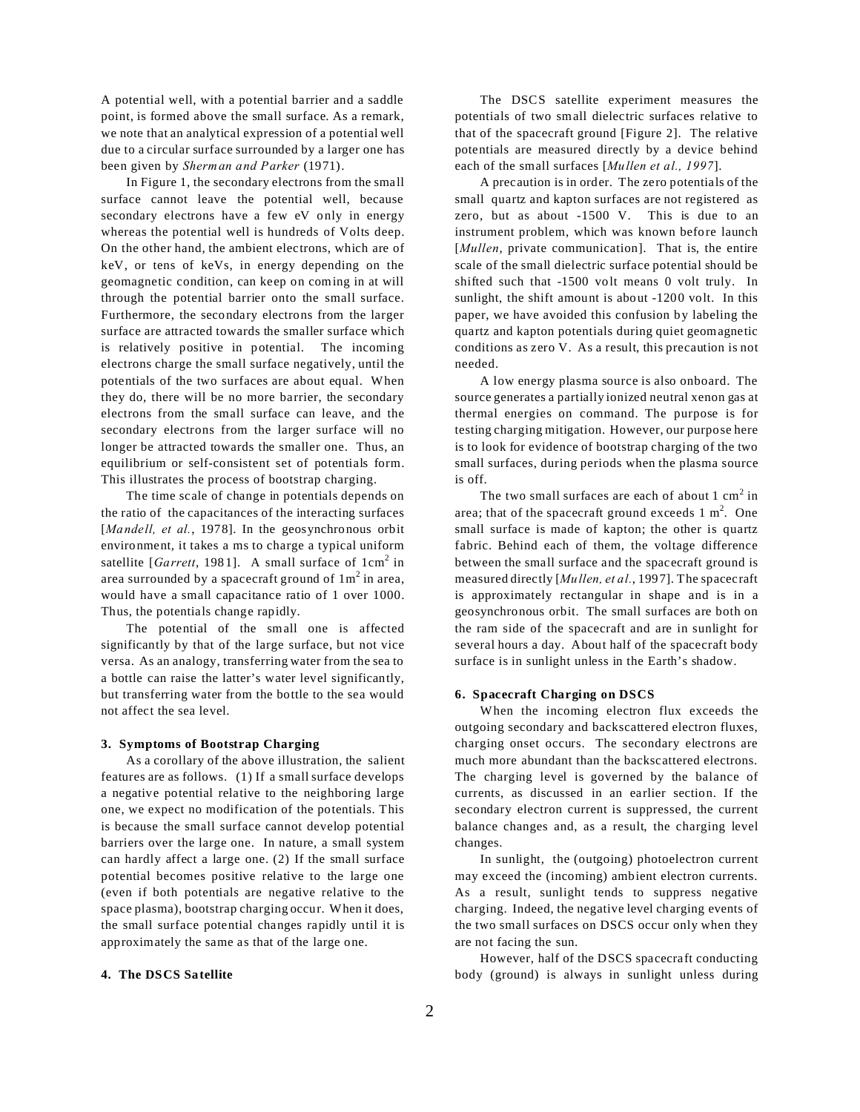A potential well, with a potential barrier and a saddle point, is formed above the small surface. As a remark, we note that an analytical expression of a potential well due to a circular surface surrounded by a larger one has been given by *Sherman and Parker* (1971).

In Figure 1, the secondary electrons from the small surface cannot leave the potential well, because secondary electrons have a few eV only in energy whereas the potential well is hundreds of Volts deep. On the other hand, the ambient electrons, which are of keV, or tens of keVs, in energy depending on the geomagnetic condition, can keep on coming in at will through the potential barrier onto the small surface. Furthermore, the secondary electrons from the larger surface are attracted towards the smaller surface which is relatively positive in potential. The incoming electrons charge the small surface negatively, until the potentials of the two surfaces are about equal. When they do, there will be no more barrier, the secondary electrons from the small surface can leave, and the secondary electrons from the larger surface will no longer be attracted towards the smaller one. Thus, an equilibrium or self-consistent set of potentials form. This illustrates the process of bootstrap charging.

The time scale of change in potentials depends on the ratio of the capacitances of the interacting surfaces [*Mandell, et al.,* 1978]. In the geosynchronous orbit environment, it takes a ms to charge a typical uniform satellite [*Garrett*, 1981]. A small surface of  $1 \text{cm}^2$  in area surrounded by a spacecraft ground of  $1\,\mathrm{m}^2$  in area, would have a small capacitance ratio of 1 over 1000. Thus, the potentials change rapidly.

The potential of the small one is affected significantly by that of the large surface, but not vice versa. As an analogy, transferring water from the sea to a bottle can raise the latter's water level significantly, but transferring water from the bottle to the sea would not affect the sea level.

#### **3. Symptoms of Bootstrap Charging**

As a corollary of the above illustration, the salient features are as follows. (1) If a small surface develops a negative potential relative to the neighboring large one, we expect no modification of the potentials. This is because the small surface cannot develop potential barriers over the large one. In nature, a small system can hardly affect a large one. (2) If the small surface potential becomes positive relative to the large one (even if both potentials are negative relative to the space plasma), bootstrap charging occur. When it does, the small surface potential changes rapidly until it is approximately the same as that of the large one.

#### **4. The DSCS Satellite**

The DSCS satellite experiment measures the potentials of two small dielectric surfaces relative to that of the spacecraft ground [Figure 2]. The relative potentials are measured directly by a device behind each of the small surfaces [*Mullen et al., 1997*].

A precaution is in order. The zero potentials of the small quartz and kapton surfaces are not registered as zero, but as about -1500 V. This is due to an instrument problem, which was known before launch [*Mullen*, private communication]. That is, the entire scale of the small dielectric surface potential should be shifted such that -1500 volt means 0 volt truly. In sunlight, the shift amount is about -1200 volt. In this paper, we have avoided this confusion by labeling the quartz and kapton potentials during quiet geomagnetic conditions as zero V. As a result, this precaution is not needed.

A low energy plasma source is also onboard. The source generates a partially ionized neutral xenon gas at thermal energies on command. The purpose is for testing charging mitigation. However, our purpose here is to look for evidence of bootstrap charging of the two small surfaces, during periods when the plasma source is off.

The two small surfaces are each of about  $1 \text{ cm}^2$  in area; that of the spacecraft ground exceeds  $1 \text{ m}^2$ . One small surface is made of kapton; the other is quartz fabric. Behind each of them, the voltage difference between the small surface and the spacecraft ground is measured directly [*Mullen, et al.*, 1997]. The spacecraft is approximately rectangular in shape and is in a geosynchronous orbit. The small surfaces are both on the ram side of the spacecraft and are in sunlight for several hours a day. About half of the spacecraft body surface is in sunlight unless in the Earth's shadow.

## **6. Spacecraft Charging on DSCS**

When the incoming electron flux exceeds the outgoing secondary and backscattered electron fluxes, charging onset occurs. The secondary electrons are much more abundant than the backscattered electrons. The charging level is governed by the balance of currents, as discussed in an earlier section. If the secondary electron current is suppressed, the current balance changes and, as a result, the charging level changes.

In sunlight, the (outgoing) photoelectron current may exceed the (incoming) ambient electron currents. As a result, sunlight tends to suppress negative charging. Indeed, the negative level charging events of the two small surfaces on DSCS occur only when they are not facing the sun.

However, half of the DSCS spacecraft conducting body (ground) is always in sunlight unless during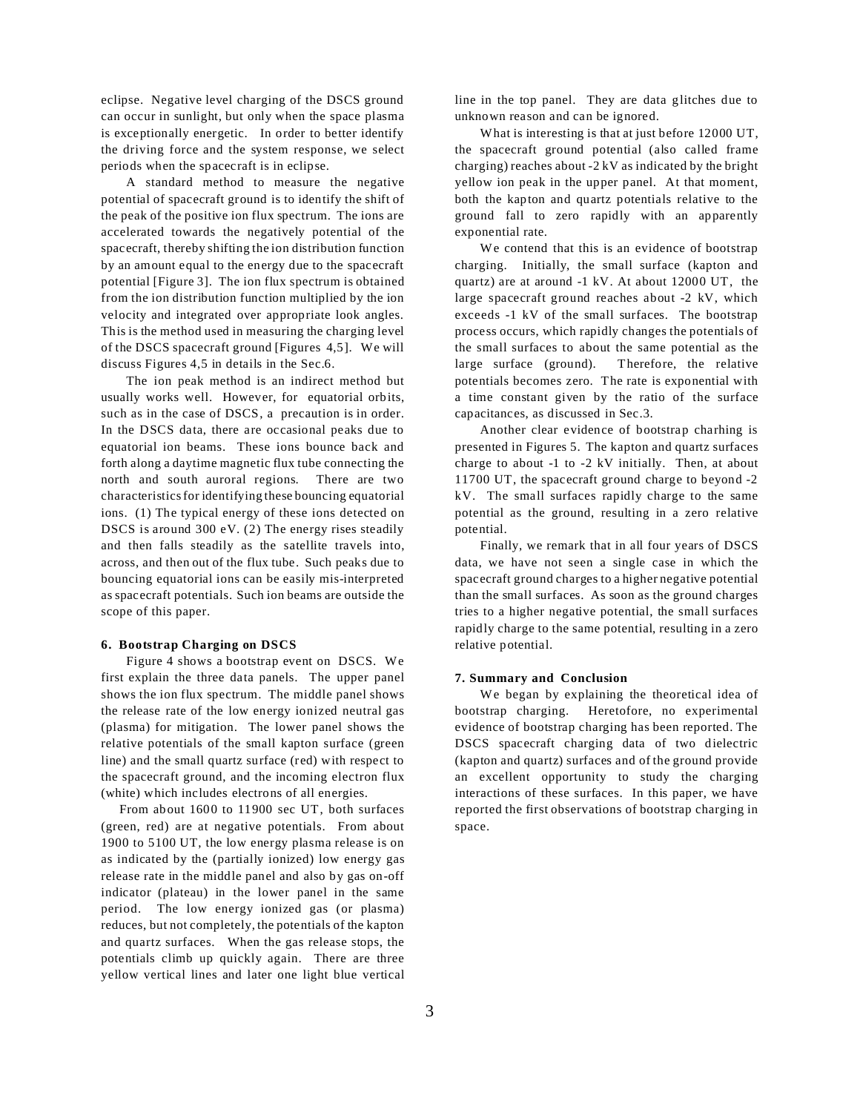eclipse. Negative level charging of the DSCS ground can occur in sunlight, but only when the space plasma is exceptionally energetic. In order to better identify the driving force and the system response, we select periods when the spacecraft is in eclipse.

A standard method to measure the negative potential of spacecraft ground is to identify the shift of the peak of the positive ion flux spectrum. The ions are accelerated towards the negatively potential of the spacecraft, thereby shifting the ion distribution function by an amount equal to the energy due to the spacecraft potential [Figure 3]. The ion flux spectrum is obtained from the ion distribution function multiplied by the ion velocity and integrated over appropriate look angles. This is the method used in measuring the charging level of the DSCS spacecraft ground [Figures 4,5]. We will discuss Figures 4,5 in details in the Sec.6.

The ion peak method is an indirect method but usually works well. However, for equatorial orbits, such as in the case of DSCS, a precaution is in order. In the DSCS data, there are occasional peaks due to equatorial ion beams. These ions bounce back and forth along a daytime magnetic flux tube connecting the north and south auroral regions. There are two characteristics for identifying these bouncing equatorial ions. (1) The typical energy of these ions detected on DSCS is around 300 eV. (2) The energy rises steadily and then falls steadily as the satellite travels into, across, and then out of the flux tube. Such peaks due to bouncing equatorial ions can be easily mis-interpreted as spacecraft potentials. Such ion beams are outside the scope of this paper.

#### **6. Bootstrap Charging on DSCS**

Figure 4 shows a bootstrap event on DSCS. We first explain the three data panels. The upper panel shows the ion flux spectrum. The middle panel shows the release rate of the low energy ionized neutral gas (plasma) for mitigation. The lower panel shows the relative potentials of the small kapton surface (green line) and the small quartz surface (red) with respect to the spacecraft ground, and the incoming electron flux (white) which includes electrons of all energies.

 From about 1600 to 11900 sec UT, both surfaces (green, red) are at negative potentials. From about 1900 to 5100 UT, the low energy plasma release is on as indicated by the (partially ionized) low energy gas release rate in the middle panel and also by gas on-off indicator (plateau) in the lower panel in the same period. The low energy ionized gas (or plasma) reduces, but not completely, the potentials of the kapton and quartz surfaces. When the gas release stops, the potentials climb up quickly again. There are three yellow vertical lines and later one light blue vertical line in the top panel. They are data glitches due to unknown reason and can be ignored.

What is interesting is that at just before 12000 UT, the spacecraft ground potential (also called frame charging) reaches about  $-2$  kV as indicated by the bright yellow ion peak in the upper panel. At that moment, both the kapton and quartz potentials relative to the ground fall to zero rapidly with an apparently exponential rate.

We contend that this is an evidence of bootstrap charging. Initially, the small surface (kapton and quartz) are at around -1 kV. At about 12000 UT, the large spacecraft ground reaches about -2 kV, which exceeds -1 kV of the small surfaces. The bootstrap process occurs, which rapidly changes the potentials of the small surfaces to about the same potential as the large surface (ground). Therefore, the relative potentials becomes zero. The rate is exponential with a time constant given by the ratio of the surface capacitances, as discussed in Sec.3.

Another clear evidence of bootstrap charhing is presented in Figures 5. The kapton and quartz surfaces charge to about -1 to -2 kV initially. Then, at about 11700 UT, the spacecraft ground charge to beyond -2 kV. The small surfaces rapidly charge to the same potential as the ground, resulting in a zero relative potential.

Finally, we remark that in all four years of DSCS data, we have not seen a single case in which the spacecraft ground charges to a higher negative potential than the small surfaces. As soon as the ground charges tries to a higher negative potential, the small surfaces rapidly charge to the same potential, resulting in a zero relative potential.

#### **7. Summary and Conclusion**

We began by explaining the theoretical idea of bootstrap charging. Heretofore, no experimental evidence of bootstrap charging has been reported. The DSCS spacecraft charging data of two dielectric (kapton and quartz) surfaces and of the ground provide an excellent opportunity to study the charging interactions of these surfaces. In this paper, we have reported the first observations of bootstrap charging in space.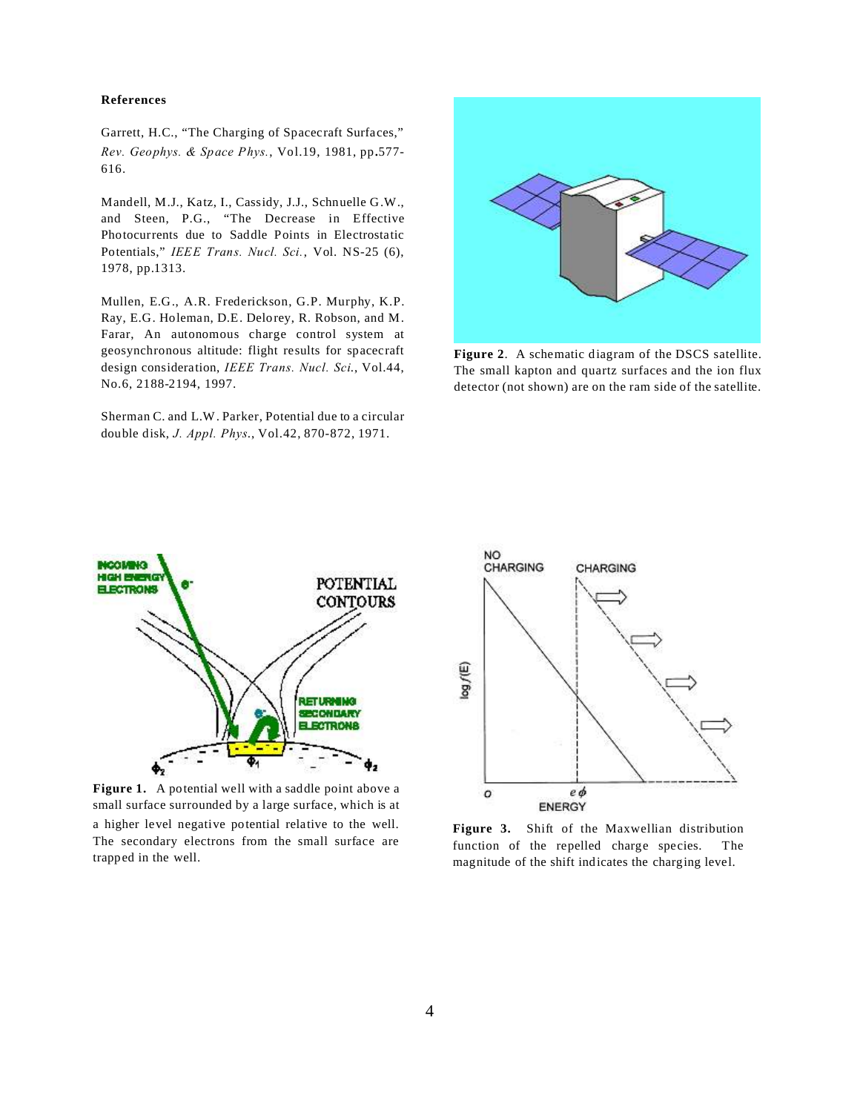## **References**

Garrett, H.C., "The Charging of Spacecraft Surfaces," *Rev. Geophys. & Space Phys.*, Vol.19, 1981, pp.577- 616.

Mandell, M.J., Katz, I., Cassidy, J.J., Schnuelle G.W., and Steen, P.G., "The Decrease in Effective Photocurrents due to Saddle Points in Electrostatic Potentials," *IEEE Trans. Nucl. Sci.*, Vol. NS-25 (6), 1978, pp.1313.

Mullen, E.G., A.R. Frederickson, G.P. Murphy, K.P. Ray, E.G. Holeman, D.E. Delorey, R. Robson, and M. Farar, An autonomous charge control system at geosynchronous altitude: flight results for spacecraft design consideration, *IEEE Trans. Nucl. Sci*., Vol.44, No.6, 2188-2194, 1997.

Sherman C. and L.W. Parker, Potential due to a circular double disk, *J. Appl. Phys*., Vol.42, 870-872, 1971.



**Figure 2**. A schematic diagram of the DSCS satellite. The small kapton and quartz surfaces and the ion flux detector (not shown) are on the ram side of the satellite.



Figure 1. A potential well with a saddle point above a small surface surrounded by a large surface, which is at a higher level negative potential relative to the well. The secondary electrons from the small surface are trapped in the well.



**Figure 3.** Shift of the Maxwellian distribution function of the repelled charge species. The magnitude of the shift indicates the charging level.